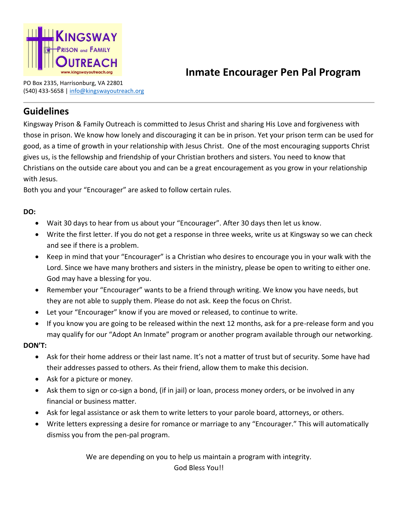

## **Inmate Encourager Pen Pal Program**

PO Box 2335, Harrisonburg, VA 22801 (540) 433-5658 | [info@kingswayoutreach.org](mailto:info@kingswayoutreach.org) 

# **Guidelines**

Kingsway Prison & Family Outreach is committed to Jesus Christ and sharing His Love and forgiveness with those in prison. We know how lonely and discouraging it can be in prison. Yet your prison term can be used for good, as a time of growth in your relationship with Jesus Christ. One of the most encouraging supports Christ gives us, is the fellowship and friendship of your Christian brothers and sisters. You need to know that Christians on the outside care about you and can be a great encouragement as you grow in your relationship with Jesus.

Both you and your "Encourager" are asked to follow certain rules.

#### **DO:**

- Wait 30 days to hear from us about your "Encourager". After 30 days then let us know.
- Write the first letter. If you do not get a response in three weeks, write us at Kingsway so we can check and see if there is a problem.
- Keep in mind that your "Encourager" is a Christian who desires to encourage you in your walk with the Lord. Since we have many brothers and sisters in the ministry, please be open to writing to either one. God may have a blessing for you.
- Remember your "Encourager" wants to be a friend through writing. We know you have needs, but they are not able to supply them. Please do not ask. Keep the focus on Christ.
- Let your "Encourager" know if you are moved or released, to continue to write.
- If you know you are going to be released within the next 12 months, ask for a pre-release form and you may qualify for our "Adopt An Inmate" program or another program available through our networking.

**DON'T:**

- Ask for their home address or their last name. It's not a matter of trust but of security. Some have had their addresses passed to others. As their friend, allow them to make this decision.
- Ask for a picture or money.
- Ask them to sign or co-sign a bond, (if in jail) or loan, process money orders, or be involved in any financial or business matter.
- Ask for legal assistance or ask them to write letters to your parole board, attorneys, or others.
- Write letters expressing a desire for romance or marriage to any "Encourager." This will automatically dismiss you from the pen-pal program.

We are depending on you to help us maintain a program with integrity. God Bless You!!